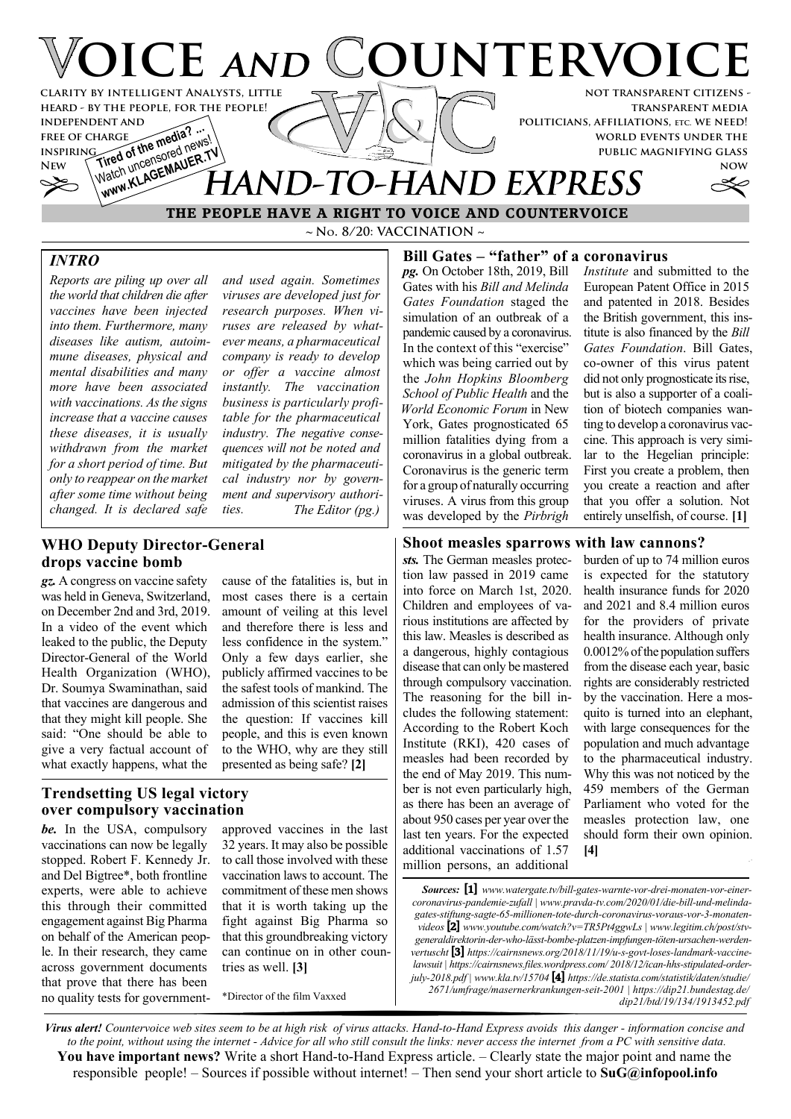

**~ No. 8/20: VACCINATION ~ THE PEOPLE HAVE A RIGHT TO VOICE AND COUNTERVOICE**

# *INTRO*

*Reports are piling up over all the world that children die after vaccines have been injected into them. Furthermore, many diseases like autism, autoimmune diseases, physical and mental disabilities and many more have been associated with vaccinations. As the signs increase that a vaccine causes these diseases, it is usually withdrawn from the market for a short period of time. But only to reappear on the market after some time without being changed. It is declared safe*

*and used again. Sometimes viruses are developed just for research purposes. When viruses are released by whatever means, a pharmaceutical company is ready to develop or offer a vaccine almost instantly. The vaccination business is particularly profitable for the pharmaceutical industry. The negative consequences will not be noted and mitigated by the pharmaceutical industry nor by government and supervisory authorities. The Editor (pg.)*

### **WHO Deputy Director-General drops vaccine bomb**

*gz.* A congress on vaccine safety was held in Geneva, Switzerland, on December 2nd and 3rd, 2019. In a video of the event which leaked to the public, the Deputy Director-General of the World Health Organization (WHO), Dr. Soumya Swaminathan, said that vaccines are dangerous and that they might kill people. She said: "One should be able to give a very factual account of what exactly happens, what the

cause of the fatalities is, but in most cases there is a certain amount of veiling at this level and therefore there is less and less confidence in the system." Only a few days earlier, she publicly affirmed vaccines to be the safest tools of mankind. The admission of this scientist raises the question: If vaccines kill people, and this is even known to the WHO, why are they still presented as being safe? **[2]**

# **Trendsetting US legal victory over compulsory vaccination**

*be.* In the USA, compulsory vaccinations can now be legally stopped. Robert F. Kennedy Jr. and Del Bigtree\*, both frontline experts, were able to achieve this through their committed engagement against Big Pharma on behalf of the American people. In their research, they came across government documents that prove that there has been no quality tests for governmentapproved vaccines in the last 32 years. It may also be possible to call those involved with these vaccination laws to account. The commitment of these men shows that it is worth taking up the fight against Big Pharma so that this groundbreaking victory can continue on in other countries as well. **[3]**

\*Director of the film Vaxxed

#### **Bill Gates – "father" of a coronavirus**

*pg.* On October 18th, 2019, Bill Gates with his *Bill and Melinda Gates Foundation* staged the simulation of an outbreak of a pandemic caused by a coronavirus. In the context of this "exercise" which was being carried out by the *John Hopkins Bloomberg School of Public Health* and the *World Economic Forum* in New York, Gates prognosticated 65 million fatalities dying from a coronavirus in a global outbreak. Coronavirus is the generic term for a group of naturally occurring viruses. A virus from this group was developed by the *Pirbrigh*

*Institute* and submitted to the European Patent Office in 2015 and patented in 2018. Besides the British government, this institute is also financed by the *Bill Gates Foundation*. Bill Gates, co-owner of this virus patent did not only prognosticate its rise, but is also a supporter of a coalition of biotech companies wanting to develop a coronavirus vaccine. This approach is very similar to the Hegelian principle: First you create a problem, then you create a reaction and after that you offer a solution. Not entirely unselfish, of course. **[1]**

#### **Shoot measles sparrows with law cannons?**

*sts.* The German measles protection law passed in 2019 came into force on March 1st, 2020. Children and employees of various institutions are affected by this law. Measles is described as a dangerous, highly contagious disease that can only be mastered through compulsory vaccination. The reasoning for the bill includes the following statement: According to the Robert Koch Institute (RKI), 420 cases of measles had been recorded by the end of May 2019. This number is not even particularly high, as there has been an average of about 950 cases per year over the last ten years. For the expected additional vaccinations of 1.57 million persons, an additional

burden of up to 74 million euros is expected for the statutory health insurance funds for 2020 and 2021 and 8.4 million euros for the providers of private health insurance. Although only 0.0012% of the population suffers from the disease each year, basic rights are considerably restricted by the vaccination. Here a mosquito is turned into an elephant, with large consequences for the population and much advantage to the pharmaceutical industry. Why this was not noticed by the 459 members of the German Parliament who voted for the measles protection law, one should form their own opinion. **[4]**

*Virus alert! Countervoice web sites seem to be at high risk of virus attacks. Hand-to-Hand Express avoids this danger - information concise and to the point, without using the internet - Advice for all who still consult the links: never access the internet from a PC with sensitive data.* **You have important news?** Write a short Hand-to-Hand Express article. – Clearly state the major point and name the responsible people! – Sources if possible without internet! – Then send your short article to **SuG@infopool.info**

*Sources:* **[1]** *www.watergate.tv/bill-gates-warnte-vor-drei-monaten-vor-einercoronavirus-pandemie-zufall | www.pravda-tv.com/2020/01/die-bill-und-melindagates-stiftung-sagte-65-millionen-tote-durch-coronavirus-voraus-vor-3-monatenvideos* **[2]** *www.youtube.com/watch?v=TR5Pt4ggwLs | www.legitim.ch/post/stvgeneraldirektorin-der-who-lässt-bombe-platzen-impfungen-töten-ursachen-werdenvertuscht* **[3]** *https://cairnsnews.org/2018/11/19/u-s-govt-loses-landmark-vaccinelawsuit | https://cairnsnews.files.wordpress.com/ 2018/12/ican-hhs-stipulated-orderjuly-2018.pdf | www.kla.tv/15704* **[4]** *https://de.statista.com/statistik/daten/studie/ 2671/umfrage/masernerkrankungen-seit-2001 | https://dip21.bundestag.de/ dip21/btd/19/134/1913452.pdf*